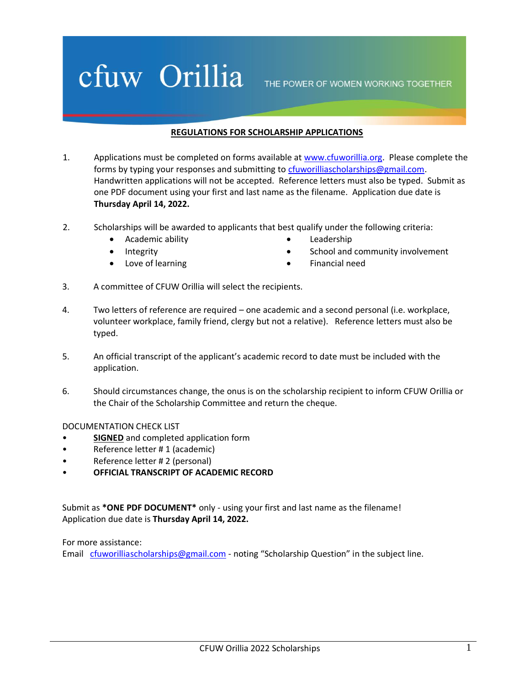## cfuw Orillia

THE POWER OF WOMEN WORKING TOGETHER

## **REGULATIONS FOR SCHOLARSHIP APPLICATIONS**

- 1. Applications must be completed on forms available at [www.cfuworillia.org.](http://www.cfuworillia.org/) Please complete the forms by typing your responses and submitting to [cfuworilliascholarships@gmail.com.](mailto:cfuworilliascholarships@gmail.com) Handwritten applications will not be accepted. Reference letters must also be typed. Submit as one PDF document using your first and last name as the filename. Application due date is **Thursday April 14, 2022.**
- 2. Scholarships will be awarded to applicants that best qualify under the following criteria:
	- Academic ability
	- Integrity
	- Love of learning
- Leadership
- School and community involvement
- Financial need
- 3. A committee of CFUW Orillia will select the recipients.
- 4. Two letters of reference are required one academic and a second personal (i.e. workplace, volunteer workplace, family friend, clergy but not a relative). Reference letters must also be typed.
- 5. An official transcript of the applicant's academic record to date must be included with the application.
- 6. Should circumstances change, the onus is on the scholarship recipient to inform CFUW Orillia or the Chair of the Scholarship Committee and return the cheque.

DOCUMENTATION CHECK LIST

- **SIGNED** and completed application form
- Reference letter # 1 (academic)
- Reference letter # 2 (personal)
- **OFFICIAL TRANSCRIPT OF ACADEMIC RECORD**

Submit as **\*ONE PDF DOCUMENT\*** only - using your first and last name as the filename! Application due date is **Thursday April 14, 2022.**

For more assistance: Email [cfuworilliascholarships@gmail.com](mailto:cfuworilliascholarships@gmail.com) - noting "Scholarship Question" in the subject line.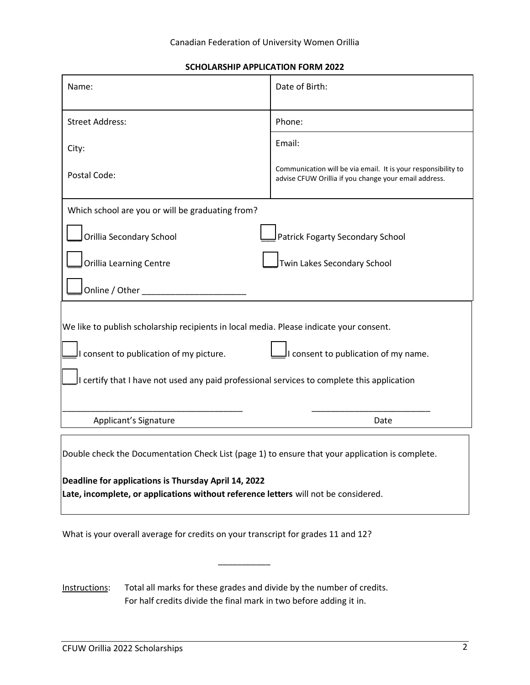**SCHOLARSHIP APPLICATION FORM 2022**

| Name:                                                                                           | Date of Birth:                                                                                                         |
|-------------------------------------------------------------------------------------------------|------------------------------------------------------------------------------------------------------------------------|
| <b>Street Address:</b>                                                                          | Phone:                                                                                                                 |
| City:                                                                                           | Email:                                                                                                                 |
| Postal Code:                                                                                    | Communication will be via email. It is your responsibility to<br>advise CFUW Orillia if you change your email address. |
| Which school are you or will be graduating from?                                                |                                                                                                                        |
| Orillia Secondary School                                                                        | Patrick Fogarty Secondary School                                                                                       |
| <b>Orillia Learning Centre</b>                                                                  | Twin Lakes Secondary School                                                                                            |
| Online / Other                                                                                  |                                                                                                                        |
| We like to publish scholarship recipients in local media. Please indicate your consent.         |                                                                                                                        |
| I consent to publication of my picture.                                                         | I consent to publication of my name.                                                                                   |
| I certify that I have not used any paid professional services to complete this application      |                                                                                                                        |
| Applicant's Signature                                                                           | Date                                                                                                                   |
| Double check the Documentation Check List (page 1) to ensure that your application is complete. |                                                                                                                        |
| Deadline for applications is Thursday April 14, 2022                                            |                                                                                                                        |

**Late, incomplete, or applications without reference letters** will not be considered.

What is your overall average for credits on your transcript for grades 11 and 12?

Instructions: Total all marks for these grades and divide by the number of credits. For half credits divide the final mark in two before adding it in.

\_\_\_\_\_\_\_\_\_\_\_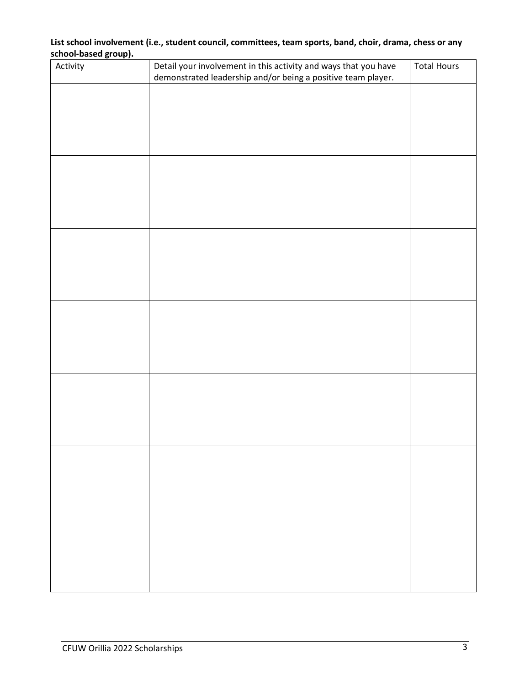## **List school involvement (i.e., student council, committees, team sports, band, choir, drama, chess or any school-based group).**

| Activity | Detail your involvement in this activity and ways that you have<br>demonstrated leadership and/or being a positive team player. | <b>Total Hours</b> |
|----------|---------------------------------------------------------------------------------------------------------------------------------|--------------------|
|          |                                                                                                                                 |                    |
|          |                                                                                                                                 |                    |
|          |                                                                                                                                 |                    |
|          |                                                                                                                                 |                    |
|          |                                                                                                                                 |                    |
|          |                                                                                                                                 |                    |
|          |                                                                                                                                 |                    |
|          |                                                                                                                                 |                    |
|          |                                                                                                                                 |                    |
|          |                                                                                                                                 |                    |
|          |                                                                                                                                 |                    |
|          |                                                                                                                                 |                    |
|          |                                                                                                                                 |                    |
|          |                                                                                                                                 |                    |
|          |                                                                                                                                 |                    |
|          |                                                                                                                                 |                    |
|          |                                                                                                                                 |                    |
|          |                                                                                                                                 |                    |
|          |                                                                                                                                 |                    |
|          |                                                                                                                                 |                    |
|          |                                                                                                                                 |                    |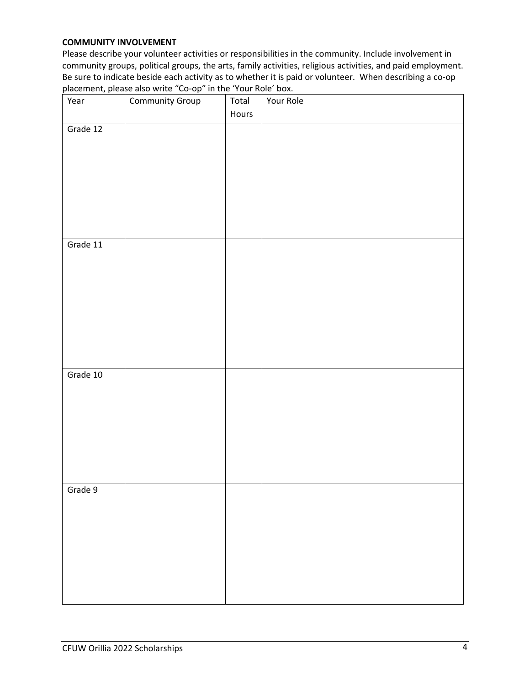## **COMMUNITY INVOLVEMENT**

Please describe your volunteer activities or responsibilities in the community. Include involvement in community groups, political groups, the arts, family activities, religious activities, and paid employment. Be sure to indicate beside each activity as to whether it is paid or volunteer. When describing a co-op placement, please also write "Co-op" in the 'Your Role' box.

| Year     | Community Group | Total | Your Role |
|----------|-----------------|-------|-----------|
|          |                 | Hours |           |
| Grade 12 |                 |       |           |
|          |                 |       |           |
|          |                 |       |           |
|          |                 |       |           |
|          |                 |       |           |
|          |                 |       |           |
|          |                 |       |           |
|          |                 |       |           |
| Grade 11 |                 |       |           |
|          |                 |       |           |
|          |                 |       |           |
|          |                 |       |           |
|          |                 |       |           |
|          |                 |       |           |
|          |                 |       |           |
|          |                 |       |           |
|          |                 |       |           |
| Grade 10 |                 |       |           |
|          |                 |       |           |
|          |                 |       |           |
|          |                 |       |           |
|          |                 |       |           |
|          |                 |       |           |
|          |                 |       |           |
|          |                 |       |           |
| Grade 9  |                 |       |           |
|          |                 |       |           |
|          |                 |       |           |
|          |                 |       |           |
|          |                 |       |           |
|          |                 |       |           |
|          |                 |       |           |
|          |                 |       |           |
|          |                 |       |           |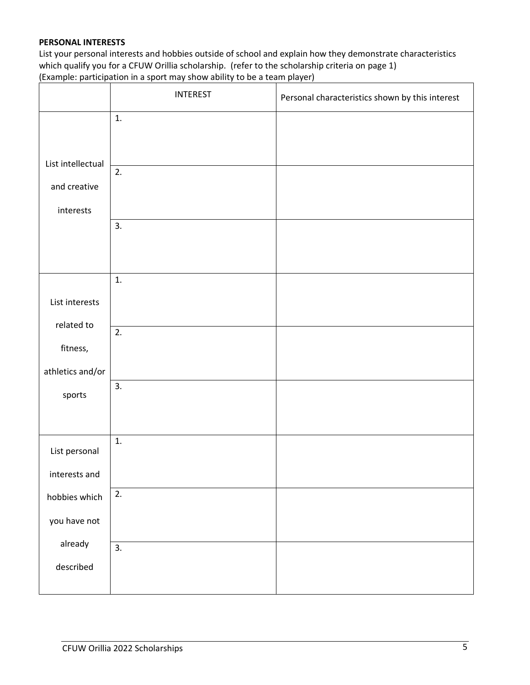## **PERSONAL INTERESTS**

List your personal interests and hobbies outside of school and explain how they demonstrate characteristics which qualify you for a CFUW Orillia scholarship. (refer to the scholarship criteria on page 1) (Example: participation in a sport may show ability to be a team player)

|                   | <b>INTEREST</b>  | Personal characteristics shown by this interest |
|-------------------|------------------|-------------------------------------------------|
|                   | 1.               |                                                 |
| List intellectual | 2.               |                                                 |
| and creative      |                  |                                                 |
| interests         |                  |                                                 |
|                   | 3.               |                                                 |
|                   | 1.               |                                                 |
| List interests    |                  |                                                 |
| related to        | $\overline{2}$ . |                                                 |
| fitness,          |                  |                                                 |
| athletics and/or  |                  |                                                 |
| sports            | 3.               |                                                 |
| List personal     | 1.               |                                                 |
| interests and     |                  |                                                 |
| hobbies which     | 2.               |                                                 |
| you have not      |                  |                                                 |
| already           | 3.               |                                                 |
| described         |                  |                                                 |
|                   |                  |                                                 |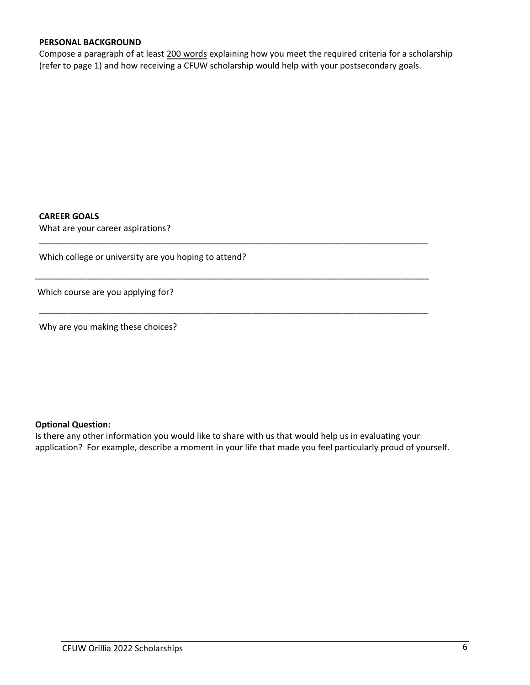## **PERSONAL BACKGROUND**

Compose a paragraph of at least 200 words explaining how you meet the required criteria for a scholarship (refer to page 1) and how receiving a CFUW scholarship would help with your postsecondary goals.

\_\_\_\_\_\_\_\_\_\_\_\_\_\_\_\_\_\_\_\_\_\_\_\_\_\_\_\_\_\_\_\_\_\_\_\_\_\_\_\_\_\_\_\_\_\_\_\_\_\_\_\_\_\_\_\_\_\_\_\_\_\_\_\_\_\_\_\_\_\_\_\_\_\_\_\_\_\_\_\_\_\_

\_\_\_\_\_\_\_\_\_\_\_\_\_\_\_\_\_\_\_\_\_\_\_\_\_\_\_\_\_\_\_\_\_\_\_\_\_\_\_\_\_\_\_\_\_\_\_\_\_\_\_\_\_\_\_\_\_\_\_\_\_\_\_\_\_\_\_\_\_\_\_\_\_\_\_\_\_\_\_\_\_\_\_

\_\_\_\_\_\_\_\_\_\_\_\_\_\_\_\_\_\_\_\_\_\_\_\_\_\_\_\_\_\_\_\_\_\_\_\_\_\_\_\_\_\_\_\_\_\_\_\_\_\_\_\_\_\_\_\_\_\_\_\_\_\_\_\_\_\_\_\_\_\_\_\_\_\_\_\_\_\_\_\_\_\_

#### **CAREER GOALS**

What are your career aspirations?

Which college or university are you hoping to attend?

Which course are you applying for?

Why are you making these choices?

## **Optional Question:**

Is there any other information you would like to share with us that would help us in evaluating your application? For example, describe a moment in your life that made you feel particularly proud of yourself.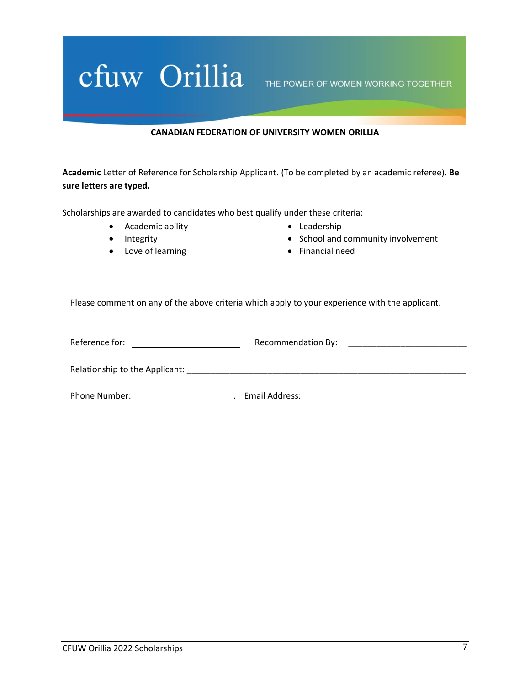# Cfuw Orillia THE POWER OF WOMEN WORKING TOGETHER

#### **CANADIAN FEDERATION OF UNIVERSITY WOMEN ORILLIA**

**Academic** Letter of Reference for Scholarship Applicant. (To be completed by an academic referee). **Be sure letters are typed.**

Scholarships are awarded to candidates who best qualify under these criteria:

- Academic ability
- Integrity
- Love of learning
- Leadership
- School and community involvement
- Financial need

Please comment on any of the above criteria which apply to your experience with the applicant.

| Reference for:                 | Recommendation By: |  |
|--------------------------------|--------------------|--|
|                                |                    |  |
| Relationship to the Applicant: |                    |  |
| Phone Number:                  | Email Address:     |  |